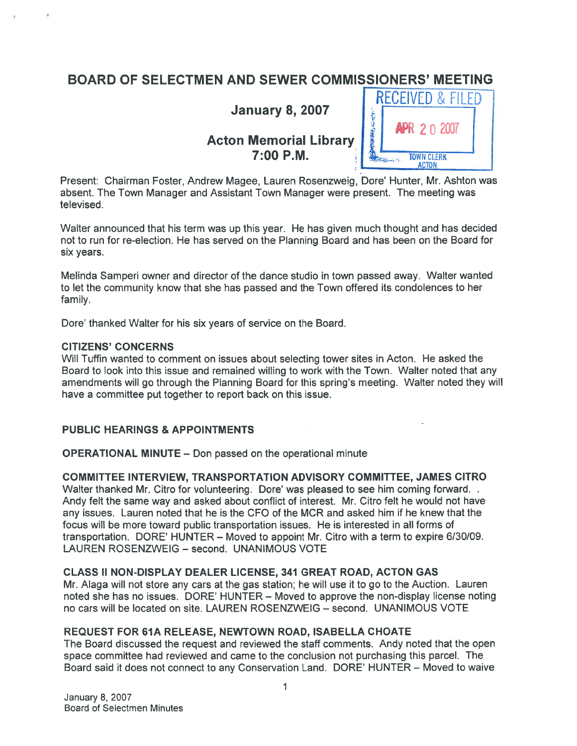# BOARD OF SELECTMEN AND SEWER COMMISSIONERS' MEETING

January 8, 2007

**7:00 P.M. TOWN CLERK** 



Present: Chairman Foster, Andrew Magee, Lauren Rosenzweig, Dore' Hunter, Mr. Ashton was absent. The Town Manager and Assistant Town Manager were present. The meeting was televised.

Walter announced that his term was up this year. He has given much thought and has decided not to run for re-election. He has served on the Planning Board and has been on the Board for six years.

Melinda Sampeti owner and director of the dance studio in town passed away. Walter wanted to let the community know that she has passed and the Town offered its condolences to her family.

Dore' thanked Walter for his six years of service on the Board.

### CITIZENS' CONCERNS

Will Tuffin wanted to comment on issues about selecting tower sites in Acton. He asked the Board to look into this issue and remained willing to work with the Town. Walter noted that any amendments will go through the Planning Board for this spring's meeting. Walter noted they will have <sup>a</sup> committee pu<sup>t</sup> together to repor<sup>t</sup> back on this issue.

### PUBLIC HEARINGS & APPOINTMENTS

OPERATIONAL MINUTE — Don passed on the operational minute

### COMMITTEE INTERVIEW, TRANSPORTATION ADVISORY COMMITTEE, JAMES CITRO

Walter thanked Mr. Citro for volunteering. Dore' was pleased to see him coming forward.. Andy felt the same way and asked about conflict of interest. Mr. Citro felt he would not have any issues. Lauren noted that he is the CEO of the MCR and asked him if he knew that the focus will be more toward public transportation issues. He is interested in all forms of transportation. DORE' HUNTER — Moved to appoint Mr. Citro with <sup>a</sup> term to expire 6/30/09. LAUREN ROSENZWEIG — second. UNANIMOUS VOTE

### CLASS II NON-DISPLAY DEALER LICENSE, 341 GREAT ROAD, ACTON GAS

Mr. Alaga will not store any cars at the gas station; he will use it to go to the Auction. Lauren noted she has no issues. DORE' HUNTER — Moved to approve the non-display license noting no cars will be located on site. LAUREN ROSENZWEIG — second. UNANIMOUS VOTE

### REQUEST FOR 61A RELEASE, NEWTOWN ROAD, ISABELLA CHOATE

The Board discussed the reques<sup>t</sup> and reviewed the staff comments. Andy noted that the open space committee had reviewed and came to the conclusion not purchasing this parcel. The Board said it does not connect to any Conservation Land. DORE' HUNTER — Moved to waive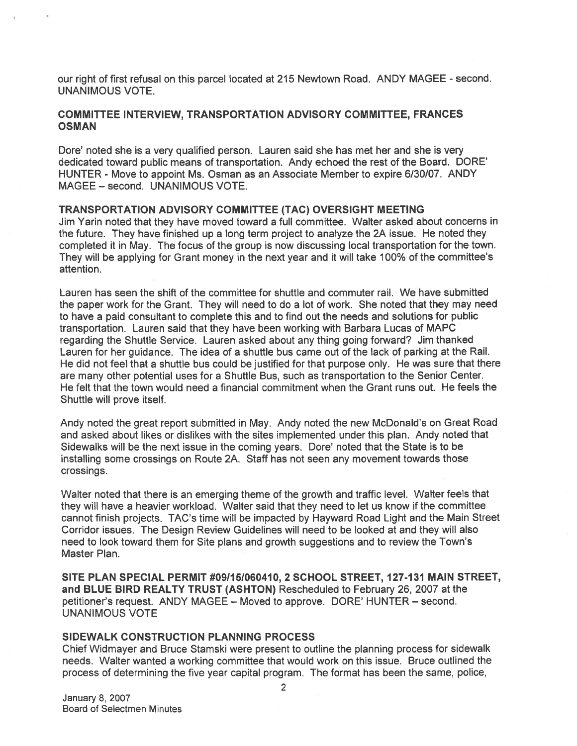our right of first refusal on this parcel located at 215 Newtown Road. ANDY MAGEE - second. UNANIMOUS VOTE.

## COMMITTEE INTERVIEW, TRANSPORTATION ADVISORY COMMITTEE, FRANCES **OSMAN**

Dore' noted she is <sup>a</sup> very qualified person. Lauren said she has met her and she is very dedicated toward public means of transportation. Andy echoed the rest of the Board. DORE' HUNTER - Move to appoint Ms. Osman as an Associate Member to expire 6/30/07. ANDY MAGEE - second. UNANIMOUS VOTE.

### TRANSPORTATION ADVISORY COMMITTEE (TAC) OVERSIGHT MEETING

Jim Yatin noted that they have moved toward <sup>a</sup> full committee. Walter asked about concerns in the future. They have finished up <sup>a</sup> long term project to analyze the 2A issue. He noted they completed it in May. The focus of the group is now discussing local transportation for the town. They will be applying for Grant money in the next year and it will take 100% of the committee's attention.

Lauren has seen the shift of the committee for shuttle and commuter rail. We have submitted the paper work for the Grant. They will need to do <sup>a</sup> lot of work. She noted that they may need to have <sup>a</sup> paid consultant to complete this and to find out the needs and solutions for public transportation. Lauren said that they have been working with Barbara Lucas of MAPC regarding the Shuttle Service. Lauren asked about any thing going forward? Jim thanked Lauren for her guidance. The idea of <sup>a</sup> shuttle bus came out of the lack of parking at the Rail. He did not feel that <sup>a</sup> shuttle bus could be justified for that purpose only. He was sure that there are many other potential uses for <sup>a</sup> Shuttle Bus, such as transportation to the Senior Center. He felt that the town would need <sup>a</sup> financial commitment when the Grant runs out. He feels the Shuttle will prove itself.

Andy noted the grea<sup>t</sup> repor<sup>t</sup> submitted in May. Andy noted the new McDonald's on Great Road and asked about likes or dislikes with the sites implemented under this plan. Andy noted that Sidewalks will be the next issue in the coming years. Dote' noted that the State is to be installing some crossings on Route 2A. Staff has not seen any movement towards those crossings.

Walter noted that there is an emerging theme of the growth and traffic level. Walter feels that they will have <sup>a</sup> heavier workload. Walter said that they need to let us know if the committee cannot finish projects. TAC's time will be impacted by Hayward Road Light and the Main Street Corridor issues. The Design Review Guidelines will need to be looked at and they will also need to look toward them for Site plans and growth suggestions and to review the Town's Master Plan.

SITE PLAN SPECIAL PERMIT #09/15/060410, 2 SCHOOL STREET, 127-131 MAIN STREET, and BLUE BIRD REALTY TRUST (ASHTON) Rescheduled to February 26, 2007 at the petitioner's request. ANDY MAGEE — Moved to approve. DORE' HUNTER — second. UNANIMOUS VOTE

### SIDEWALK CONSTRUCTION PLANNING PROCESS

Chief Widmayer and Bruce Stamski were presen<sup>t</sup> to outline the planning process for sidewalk needs. Walter wanted <sup>a</sup> working committee that would work on this issue. Bruce outlined the process of determining the five year capital program. The format has been the same, police,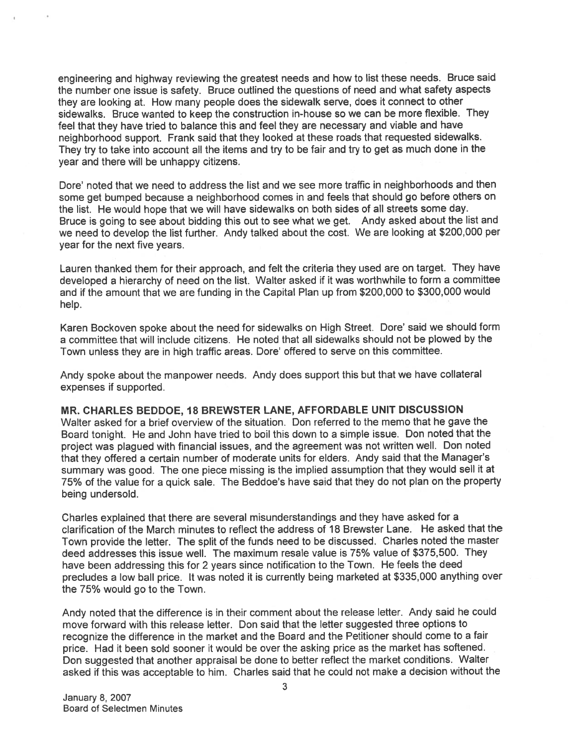engineering and highway reviewing the greatest needs and how to list these needs. Bruce said the number one issue is safety. Bruce outlined the questions of need and what safety aspects they are looking at. How many people does the sidewalk serve, does it connect to other sidewalks. Bruce wanted to keep the construction in-house so we can be more flexible. They feel that they have tried to balance this and feel they are necessary and viable and have neighborhood support. Frank said that they looked at these roads that requested sidewalks. They try to take into account all the items and try to be fair and try to ge<sup>t</sup> as much done in the year and there will be unhappy citizens.

Dore' noted that we need to address the list and we see more traffic in neighborhoods and then some ge<sup>t</sup> bumped because <sup>a</sup> neighborhood comes in and feels that should go before others on the list. He would hope that we will have sidewalks on both sides of all streets some day. Bruce is going to see about bidding this out to see what we get. Andy asked about the list and we need to develop the list further. Andy talked about the cost. We are looking at \$200,000 per year for the next five years.

Lauren thanked them for their approach, and felt the criteria they used are on target. They have developed <sup>a</sup> hierarchy of need on the list. Walter asked if it was worthwhile to form <sup>a</sup> committee and if the amount that we are funding in the Capital Plan up from \$200,000 to \$300,000 would help.

Karen Bockoven spoke about the need for sidewalks on High Street. Dore' said we should form a committee that will include citizens. He noted that all sidewalks should not be plowed by the Town unless they are in high traffic areas. Dote' offered to serve on this committee.

Andy spoke about the manpower needs. Andy does suppor<sup>t</sup> this but that we have collateral expenses if supported.

MR. CHARLES BEDDOE, 18 BREWSTER LANE, AFFORDABLE UNIT DISCUSSION Walter asked for <sup>a</sup> brief overview of the situation. Don referred to the memo that he gave the Board tonight. He and John have tried to boil this down to <sup>a</sup> simple issue. Don noted that the project was <sup>p</sup>lagued with financial issues, and the agreemen<sup>t</sup> was not written well. Don noted that they offered <sup>a</sup> certain number of moderate units for elders. Andy said that the Manager's summary was good. The one <sup>p</sup>iece missing is the implied assumption that they would sell it at 75% of the value for <sup>a</sup> quick sale. The Beddoe's have said that they do not <sup>p</sup>lan on the property being undersold.

Charles explained that there are several misunderstandings and they have asked for <sup>a</sup> clarification of the March minutes to reflect the address of 18 Brewster Lane. He asked that the Town provide the letter. The split of the funds need to be discussed. Charles noted the master deed addresses this issue well. The maximum resale value is 75% value of \$375,500. They have been addressing this for <sup>2</sup> years since notification to the Town. He feels the deed precludes <sup>a</sup> low ball price. It was noted it is currently being marketed at \$335,000 anything over the 75% would go to the Town.

Andy noted that the difference is in their comment about the release letter. Andy said he could move forward with this release letter. Don said that the letter suggested three options to recognize the difference in the market and the Board and the Petitioner should come to <sup>a</sup> fair price. Had it been sold sooner it would be over the asking price as the market has softened. Don suggested that another appraisal be done to better reflect the market conditions. Walter asked if this was acceptable to him. Charles said that he could not make <sup>a</sup> decision without the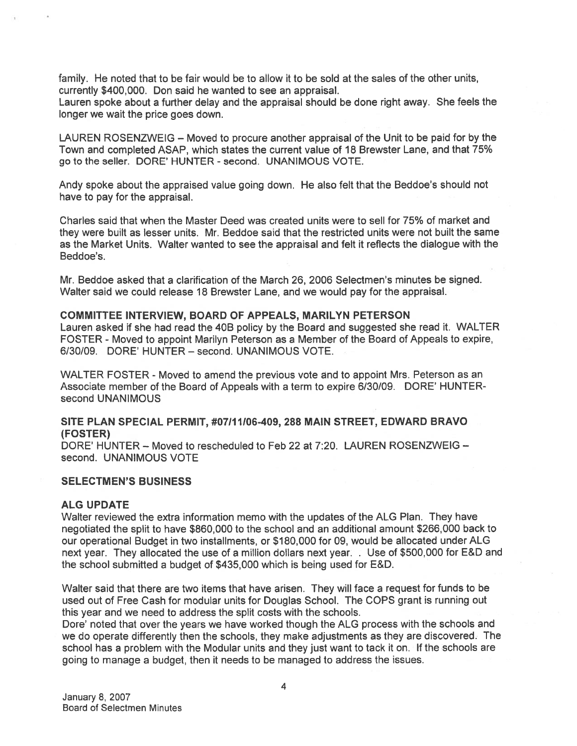family. He noted that to be fair would be to allow it to be sold at the sales of the other units, currently \$400,000. Don said he wanted to see an appraisal. Lauren spoke about <sup>a</sup> further delay and the appraisal should be done right away. She feels the longer we wait the price goes down.

LAUREN ROSENZWEIG — Moved to procure another appraisal of the Unit to be paid for by the Town and completed ASAP, which states the current value of 18 Brewster Lane, and that 75% go to the seller. DORE' HUNTER - second. UNANIMOUS VOTE.

Andy spoke about the appraised value going down. He also felt that the Beddoe's should not have to pay for the appraisal.

Charles said that when the Master Deed was created units were to sell for 75% of market and they were built as lesser units. Mr. Beddoe said that the restricted units were not built the same as the Market Units. Walter wanted to see the appraisal and felt it reflects the dialogue with the Beddoe's.

Mr. Beddoe asked that <sup>a</sup> clarification of the March 26, 2006 Selectmen's minutes be signed. Walter said we could release 18 Brewster Lane, and we would pay for the appraisal.

### COMMITTEE INTERVIEW, BOARD OF APPEALS, MARILYN PETERSON

Lauren asked if she had read the 4DB policy by the Board and suggested she read it. WALTER FOSTER - Moved to appoint Marilyn Peterson as <sup>a</sup> Member of the Board of Appeals to expire, 6/30/09. DORE' HUNTER — second. UNANIMOUS VOTE.

WALTER FOSTER - Moved to amend the previous vote and to appoint Mrs. Peterson as an Associate member of the Board of Appeals with <sup>a</sup> term to expire 6/30/09. DORE' HUNTERsecond UNANIMOUS

### SITE PLAN SPECIAL PERMIT, #07111106-409, 288 MAIN STREET, EDWARD BRAVO (FOSTER)

DORE' HUNTER — Moved to rescheduled to Feb 22 at 7:20. LAUREN ROSENZWEIG second. UNANIMOUS VOTE

### SELECTMEN'S BUSINESS

#### ALG UPDATE

Walter reviewed the extra information memo with the updates of the ALG Plan. They have negotiated the split to have \$860,000 to the school and an additional amount \$266,000 back to our operational Budget in two installments, or \$180,000 for 09, would be allocated under ALG next year. They allocated the use of <sup>a</sup> million dollars next year. . Use of \$500,000 for E&D and the school submitted <sup>a</sup> budget of \$435,000 which is being used for E&D.

Walter said that there are two items that have arisen. They will face <sup>a</sup> reques<sup>t</sup> for funds to be used out of Free Cash for modular units for Douglas School. The COPS gran<sup>t</sup> is running out this year and we need to address the split costs with the schools.

Dore' noted that over the years we have worked though the ALG process with the schools and we do operate differently then the schools, they make adjustments as they are discovered. The school has <sup>a</sup> problem with the Modular units and they just want to tack it on. If the schools are going to manage <sup>a</sup> budget, then it needs to be managed to address the issues.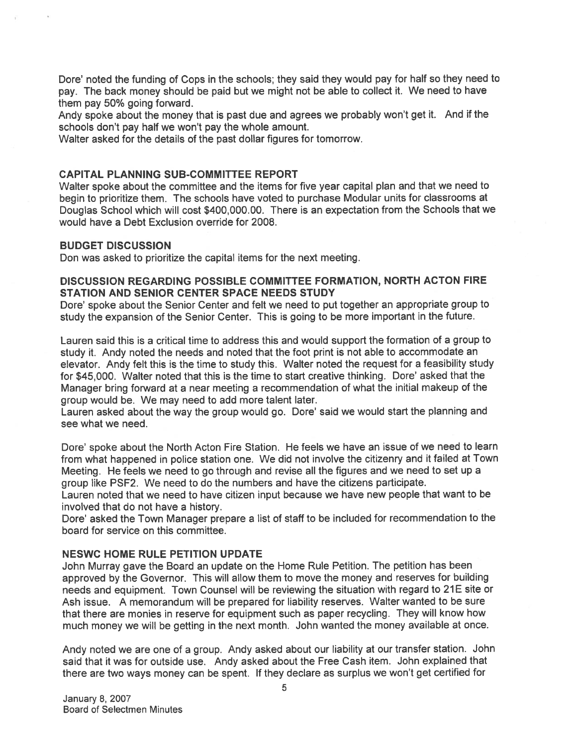Dore' noted the funding of Cops in the schools; they said they would pay for half so they need to pay. The back money should be paid but we might not be able to collect it. We need to have them pay 50% going forward.

Andy spoke about the money that is pas<sup>t</sup> due and agrees we probably won't ge<sup>t</sup> it. And if the schools don't pay half we won't pay the whole amount.

Walter asked for the details of the pas<sup>t</sup> dollar figures for tomorrow.

### CAPITAL PLANNING SUB-COMMITTEE REPORT

Walter spoke about the committee and the items for five year capital <sup>p</sup>lan and that we need to begin to prioritize them. The schools have voted to purchase Modular units for classrooms at Douglas School which will cost \$400,000.00. There is an expectation from the Schools that we would have <sup>a</sup> Debt Exclusion override for 2008.

### BUDGET DISCUSSION

Don was asked to prioritize the capital items for the next meeting.

### DISCUSSION REGARDING POSSIBLE COMMITTEE FORMATION, NORTH ACTON FIRE STATION AND SENIOR CENTER SPACE NEEDS STUDY

Dore' spoke about the Senior Center and felt we need to pu<sup>t</sup> together an appropriate group to study the expansion of the Senior Center. This is going to be more important in the future.

Lauren said this is <sup>a</sup> critical time to address this and would suppor<sup>t</sup> the formation of <sup>a</sup> group to study it. Andy noted the needs and noted that the foot print is not able to accommodate an elevator. Andy felt this is the time to study this. Walter noted the reques<sup>t</sup> for <sup>a</sup> feasibility study for \$45,000. Walter noted that this is the time to start creative thinking. Dore' asked that the Manager bring forward at <sup>a</sup> near meeting <sup>a</sup> recommendation of what the initial makeup of the group would be. We may need to add more talent later.

Lauren asked about the way the group would go. Dote' said we would start the <sup>p</sup>lanning and see what we need.

Dote' spoke about the North Acton Fire Station. He feels we have an issue of we need to learn from what happened in police station one. We did not involve the citizenry and it failed at Town Meeting. He feels we need to go through and revise all the figures and we need to set up <sup>a</sup> group like PSF2. We need to do the numbers and have the citizens participate.

Lauren noted that we need to have citizen input because we have new people that want to be involved that do not have <sup>a</sup> history.

Dore' asked the Town Manager prepare <sup>a</sup> list of staff to be included for recommendation to the board for service on this committee.

### NESWC HOME RULE PETITION UPDATE

John Murray gave the Board an update on the Home Rule Petition. The petition has been approve<sup>d</sup> by the Governor. This will allow them to move the money and reserves for building needs and equipment. Town Counsel will be reviewing the situation with regard to 21E site or Ash issue. A memorandum will be prepared for liability reserves. Walter wanted to be sure that there are monies in reserve for equipment such as paper recycling. They will know how much money we will be getting in the next month. John wanted the money available at once.

Andy noted we are one of <sup>a</sup> group. Andy asked about our liability at our transfer station. John said that it was for outside use. Andy asked about the Free Cash item. John explained that there are two ways money can be spent. If they declare as surplus we won't ge<sup>t</sup> certified for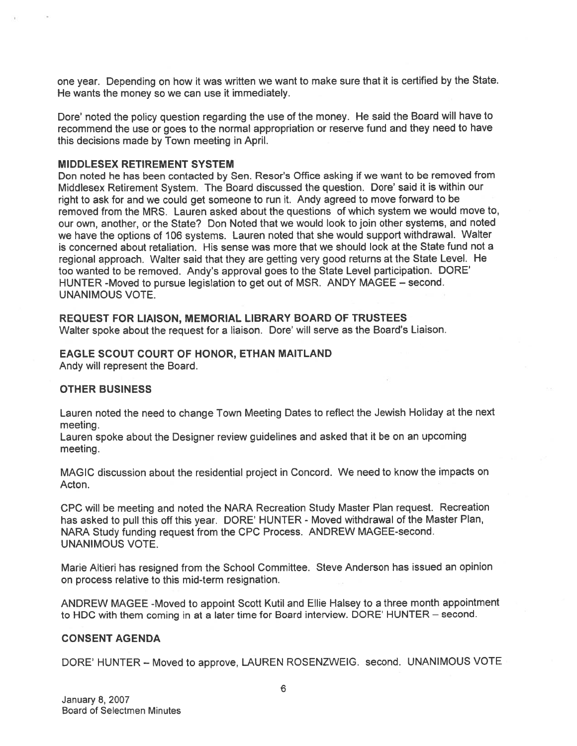one year. Depending on how it was written we want to make sure that it is certified by the State. He wants the money so we can use it immediately.

Dore' noted the policy question regarding the use of the money. He said the Board will have to recommend the use or goes to the normal appropriation or reserve fund and they need to have this decisions made by Town meeting in April.

### MIDDLESEX RETIREMENT SYSTEM

Don noted he has been contacted by Sen. Resor's Office asking if we want to be removed from Middlesex Retirement System. The Board discussed the question. Dore' said it is within our right to ask for and we could ge<sup>t</sup> someone to run it. Andy agreed to move forward to be removed from the MRS. Lauren asked about the questions of which system we would move to, our own, another, or the State? Don Noted that we would look to join other systems, and noted we have the options of <sup>106</sup> systems. Lauren noted that she would suppor<sup>t</sup> withdrawal. Walter is concerned about retaliation. His sense was more that we should look at the State fund not <sup>a</sup> regional approach. Walter said that they are getting very goo<sup>d</sup> returns at the State Level. He too wanted to be removed. Andy's approva<sup>l</sup> goes to the State Level participation. DORE' HUNTER -Moved to pursue legislation to ge<sup>t</sup> out of MSR. ANDY MAGEE — second. UNANIMOUS VOTE.

REQUEST FOR LIAISON, MEMORIAL LIBRARY BOARD OF TRUSTEES

Walter spoke about the reques<sup>t</sup> for <sup>a</sup> liaison. Dore' will serve as the Board's Liaison.

### EAGLE SCOUT COURT OF HONOR, ETHAN MAITLAND

Andy will represen<sup>t</sup> the Board.

### OTHER BUSINESS

Lauren noted the need to change Town Meeting Dates to reflect the Jewish Holiday at the next meeting.

Lauren spoke about the Designer review guidelines and asked that it be on an upcoming meeting.

MAGIC discussion about the residential project in Concord. We need to know the impacts on Acton.

CPC will be meeting and noted the NARA Recreation Study Master Plan request. Recreation has asked to pull this off this year. DORE' HUNTER - Moved withdrawal of the Master Plan, NARA Study funding reques<sup>t</sup> from the CPC Process. ANDREW MAGEE-second. UNANIMOUS VOTE.

Marie Altieri has resigned from the School Committee. Steve Anderson has issued an opinion on process relative to this mid-term resignation.

ANDREW MAGEE -Moved to appoint Scott Kutil and Ellie Halsey to <sup>a</sup> three month appointment to HDC with them coming in at <sup>a</sup> later time for Board interview. DORE' HUNTER — second.

### CONSENT AGENDA

DORE' HUNTER — Moved to approve, LAUREN ROSENZWEIG. second. UNANIMOUS VOTE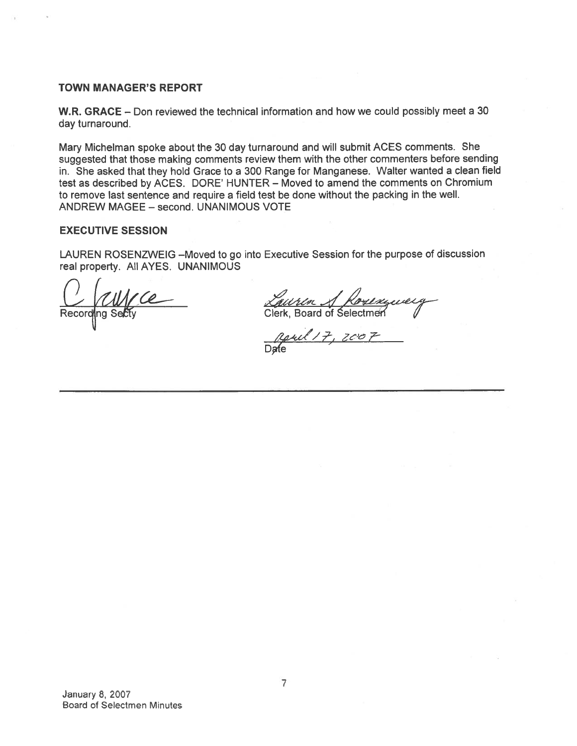### TOWN MANAGER'S REPORT

W.R. GRACE — Don reviewed the technical information and how we could possibly meet <sup>a</sup> 30 day turnaround.

Mary Michelman spoke about the <sup>30</sup> day turnaround and will submit ACES comments. She suggested that those making comments review them with the other commenters before sending in. She asked that they hold Grace to <sup>a</sup> <sup>300</sup> Range for Manganese. Walter wanted <sup>a</sup> clean field test as described by ACES. DORE' HUNTER — Moved to amend the comments on Chromium to remove last sentence and require <sup>a</sup> field test be done without the packing in the well. ANDREW MAGEE — second. UNANIMOUS VOTE

### EXECUTIVE SESSION

LAUREN ROSENZWEIG —Moved to go into Executive Session for the purpose of discussion real property. All AYES. UNANIMOUS

Record  $R_{\text{R}}$ 

Clerk, Board of Selectmen

Dafe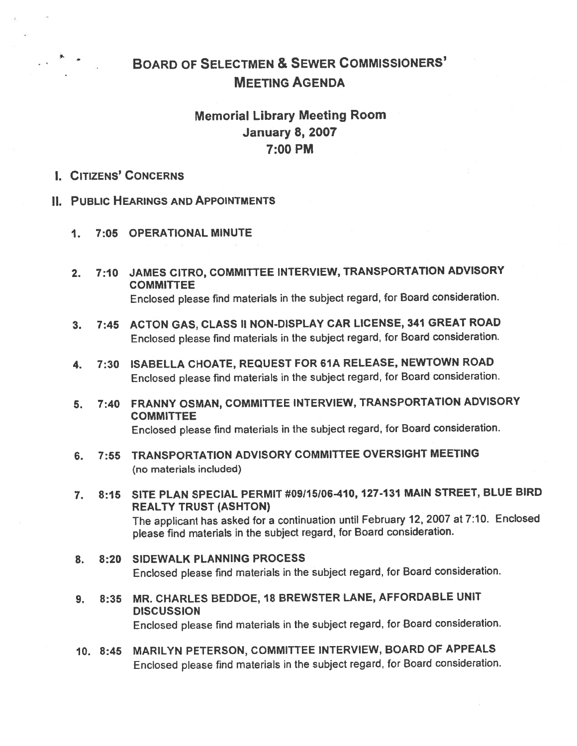# BOARD OF SELECTMEN & SEWER COMMISSIONERS' MEETING AGENDA

# Memorial Library Meeting Room January 8, 2007 7:00 PM

## I. CITIZENS' CONCERNS

## **II. PUBLIC HEARINGS AND APPOINTMENTS**

- 1. 7:05 OPERATIONAL MINUTE
- 2. 7:10 JAMES CITRO, COMMITTEE INTERVIEW, TRANSPORTATION ADViSORY COMMITTEE Enclosed <sup>p</sup>lease find materials in the subject regard, for Board consideration.
- 3. 7:45 ACTON GAS, CLASS II NON-DISPLAY CAR LICENSE, <sup>341</sup> GREAT ROAD Enclosed <sup>p</sup>lease find materials in the subject regard, for Board consideration.
- 4. 7:30 ISABELLA CHOATE, REQUEST FOR 61A RELEASE, NEWTOWN ROAD Enclosed <sup>p</sup>lease find materials in the subject regard, for Board consideration.
- 5. 7:40 FRANNY OSMAN, COMMITTEE iNTERVIEW, TRANSPORTATION ADVISORY COMMITTEE Enclosed <sup>p</sup>lease find materials in the subject regard, for Board consideration.
- 6. 7:55 TRANSPORTATION ADVISORY COMMITTEE OVERSIGHT MEETING (no materials included)
- 7. 8:15 SITE PLAN SPECIAL PERMIT #09/15/06-410, 127-131 MAIN STREET, BLUE BIRD REALTY TRUST (ASHTON) The applicant has asked for <sup>a</sup> continuation until February 12, <sup>2007</sup> at 7:10. Enclosed <sup>p</sup>lease find materials in the subject regard, for Board consideration.
- 8. 8:20 SIDEWALK PLANNING PROCESS Enclosed <sup>p</sup>lease find materials in the subject regard, for Board consideration.
- 9. 8:35 MR. CHARLES BEDDOE, 18 BREWSTER LANE, AFFORDABLE UNIT **DISCUSSION** Enclosed <sup>p</sup>lease find materials in the subject regard, for Board consideration.
- 10. 8:45 MARILYN PETERSON, COMMITTEE INTERVIEW, BOARD OF APPEALS Enclosed <sup>p</sup>lease find materials in the subject regard, for Board consideration.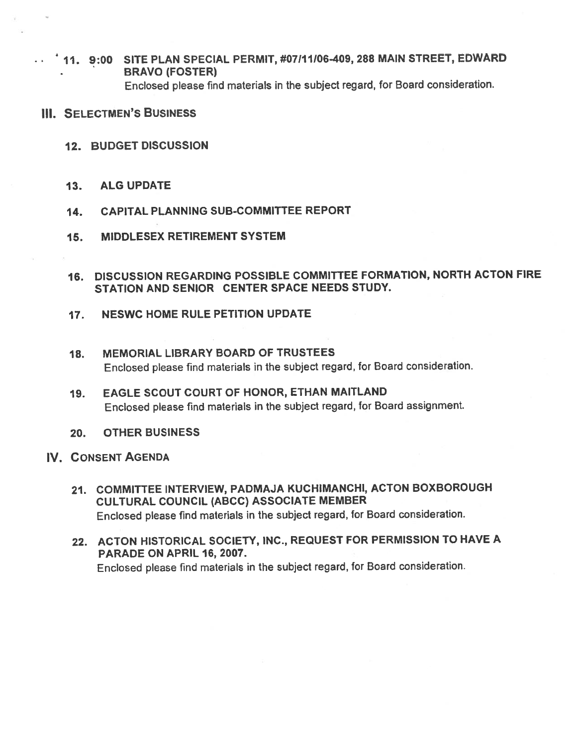- 11. 9:00 SITE PLAN SPECIAL PERMIT, #07111106-409, 28\$ MAIN STREET, EDWARD BRAVO (FOSTER) Enclosed <sup>p</sup>lease find materials in the subject regard, for Board consideration.
- III. SELECTMEN'S BUSINESS
	- 12. BUDGET DISCUSSION
	- 13. ALG UPDATE
	- 14. CAPiTAL PLANNING SUB-COMMITTEE REPORT
	- 15. MIDDLESEX RETIREMENT SYSTEM
	- 16. DISCUSSION REGARDING POSSIBLE COMMITTEE FORMATION, NORTH ACTON FIRE STATION AND SENIOR CENTER SPACE NEEDS STUDY.
	- 17. NESWC HOME RULE PETITION UPDATE
	- 18. MEMORIAL LIBRARY BOARD OF TRUSTEES Enclosed <sup>p</sup>lease find materials in the subject regard, for Board consideration.
	- 19. EAGLE SCOUT COURT OF HONOR, ETHAN MAITLAND Enclosed <sup>p</sup>lease find materials in the subject regard, for Board assignment.
	- 20. OTHER BUSINESS
- IV. CONSENT AGENDA
	- 21. COMMITTEE INTERVIEW, PADMAJA KUCHIMANCHI, ACTON BOXEOROUGH CULTURAL COUNCIL (ABCC) ASSOCIATE MEMBER Enclosed <sup>p</sup>lease find materials in the subject regard, for Board consideration.
	- 22. ACTON HISTORICAL SOCIETY, INC., REQUEST FOR PERMISSiON TO HAVE <sup>A</sup> PARADE ON APRIL 16, 2007. Enclosed <sup>p</sup>lease find materials in the subject regard, for Board consideration.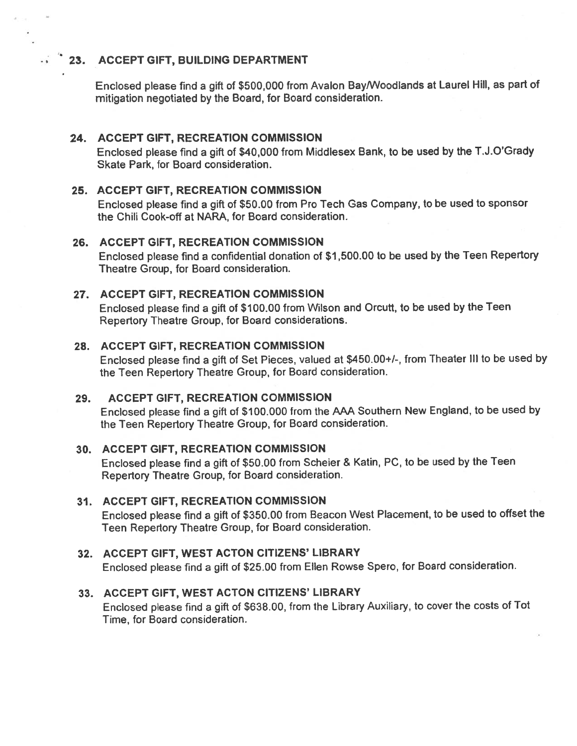# 23. ACCEPT GIFT, BUILDING DEPARTMENT

• '

Enclosed <sup>p</sup>lease find <sup>a</sup> <sup>g</sup>ift of \$500,000 from Avalon BayANoodlands at Laurel Hill, as par<sup>t</sup> of mitigation negotiated by the Board, for Board consideration.

## 24. ACCEPT GIFT, RECREATION COMMISSION

Enclosed <sup>p</sup>lease find <sup>a</sup> <sup>g</sup>ift of \$40,000 from Middlesex Bank, to be used by the T.J.O'Grady Skate Park, for Board consideration.

## 25. ACCEPT GIFT, RECREATION COMMISSION

Enclosed <sup>p</sup>lease find <sup>a</sup> <sup>g</sup>ift of \$50.00 from Pro Tech Gas Company, to be used to sponsor the Chili Cook-off at NARA, for Board consideration.

### 26. ACCEPT GIFT, RECREATION COMMISSION

Enclosed <sup>p</sup>lease find <sup>a</sup> confidential donation of \$1 ,500.00 to be used by the Teen Repertory Theatre Group, for Board consideration.

### 27. ACCEPT GIFT, RECREATION COMMISSION

Enclosed <sup>p</sup>lease find <sup>a</sup> <sup>g</sup>ift of \$100.00 from Wilson and Orcuft, to be used by the Teen Repertory Theatre Group, for Board considerations.

### 28. ACCEPT GIFT, RECREATION COMMISSION

Enclosed <sup>p</sup>lease find <sup>a</sup> <sup>g</sup>ift of Set Pieces, valued at \$450.00+I-, from Theater Ill to be used by the Teen Repertory Theatre Group, for Board consideration.

### 29. ACCEPT GIFT, RECREATION COMMISSION

Enclosed <sup>p</sup>lease find <sup>a</sup> <sup>g</sup>ift of \$1 00.000 from the AAA Southern New England, to be used by the Teen Repertory Theatre Group, for Board consideration.

## 30. ACCEPT GIFT, RECREATION COMMISSION

Enclosed <sup>p</sup>lease find <sup>a</sup> <sup>g</sup>ift of \$50.00 from Scheier & Katin, PC, to be used by the Teen Repertory Theatre Group, for Board consideration.

## 31. ACCEPT GIFT, RECREATION COMMISSION

Enclosed <sup>p</sup>lease find <sup>a</sup> <sup>g</sup>ift of \$350.00 from Beacon West Placement, to be used to offset the Teen Repertory Theatre Group, for Board consideration.

### 32. ACCEPT GIFT, WEST ACTON CITIZENS' LIBRARY

Enclosed <sup>p</sup>lease find <sup>a</sup> <sup>g</sup>ift of \$25.00 from Ellen Rowse Spero, for Board consideration.

## 33. ACCEPT GIFT, WEST ACTON CITIZENS' LIBRARY

Enclosed <sup>p</sup>lease find <sup>a</sup> <sup>g</sup>ift of \$638.00, from the Library Auxiliary, to cover the costs of Tot Time, for Board consideration.